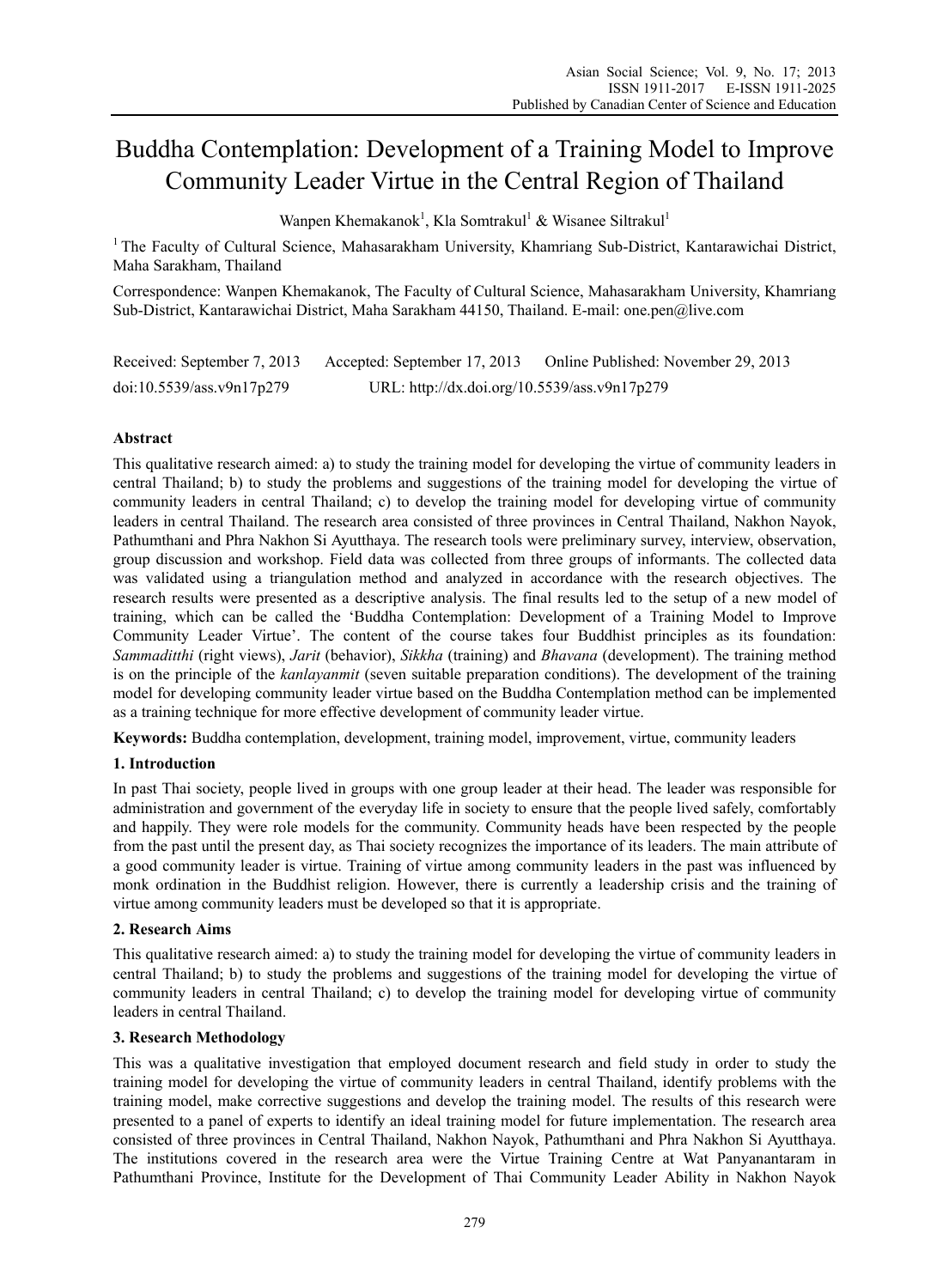# Buddha Contemplation: Development of a Training Model to Improve Community Leader Virtue in the Central Region of Thailand

Wanpen Khemakanok<sup>1</sup>, Kla Somtrakul<sup>1</sup> & Wisanee Siltrakul<sup>1</sup>

<sup>1</sup> The Faculty of Cultural Science, Mahasarakham University, Khamriang Sub-District, Kantarawichai District, Maha Sarakham, Thailand

Correspondence: Wanpen Khemakanok, The Faculty of Cultural Science, Mahasarakham University, Khamriang Sub-District, Kantarawichai District, Maha Sarakham 44150, Thailand. E-mail: one.pen@live.com

Received: September 7, 2013 Accepted: September 17, 2013 Online Published: November 29, 2013 doi:10.5539/ass.v9n17p279 URL: http://dx.doi.org/10.5539/ass.v9n17p279

# **Abstract**

This qualitative research aimed: a) to study the training model for developing the virtue of community leaders in central Thailand; b) to study the problems and suggestions of the training model for developing the virtue of community leaders in central Thailand; c) to develop the training model for developing virtue of community leaders in central Thailand. The research area consisted of three provinces in Central Thailand, Nakhon Nayok, Pathumthani and Phra Nakhon Si Ayutthaya. The research tools were preliminary survey, interview, observation, group discussion and workshop. Field data was collected from three groups of informants. The collected data was validated using a triangulation method and analyzed in accordance with the research objectives. The research results were presented as a descriptive analysis. The final results led to the setup of a new model of training, which can be called the 'Buddha Contemplation: Development of a Training Model to Improve Community Leader Virtue'. The content of the course takes four Buddhist principles as its foundation: *Sammaditthi* (right views), *Jarit* (behavior), *Sikkha* (training) and *Bhavana* (development). The training method is on the principle of the *kanlayanmit* (seven suitable preparation conditions). The development of the training model for developing community leader virtue based on the Buddha Contemplation method can be implemented as a training technique for more effective development of community leader virtue.

**Keywords:** Buddha contemplation, development, training model, improvement, virtue, community leaders

# **1. Introduction**

In past Thai society, people lived in groups with one group leader at their head. The leader was responsible for administration and government of the everyday life in society to ensure that the people lived safely, comfortably and happily. They were role models for the community. Community heads have been respected by the people from the past until the present day, as Thai society recognizes the importance of its leaders. The main attribute of a good community leader is virtue. Training of virtue among community leaders in the past was influenced by monk ordination in the Buddhist religion. However, there is currently a leadership crisis and the training of virtue among community leaders must be developed so that it is appropriate.

# **2. Research Aims**

This qualitative research aimed: a) to study the training model for developing the virtue of community leaders in central Thailand; b) to study the problems and suggestions of the training model for developing the virtue of community leaders in central Thailand; c) to develop the training model for developing virtue of community leaders in central Thailand.

### **3. Research Methodology**

This was a qualitative investigation that employed document research and field study in order to study the training model for developing the virtue of community leaders in central Thailand, identify problems with the training model, make corrective suggestions and develop the training model. The results of this research were presented to a panel of experts to identify an ideal training model for future implementation. The research area consisted of three provinces in Central Thailand, Nakhon Nayok, Pathumthani and Phra Nakhon Si Ayutthaya. The institutions covered in the research area were the Virtue Training Centre at Wat Panyanantaram in Pathumthani Province, Institute for the Development of Thai Community Leader Ability in Nakhon Nayok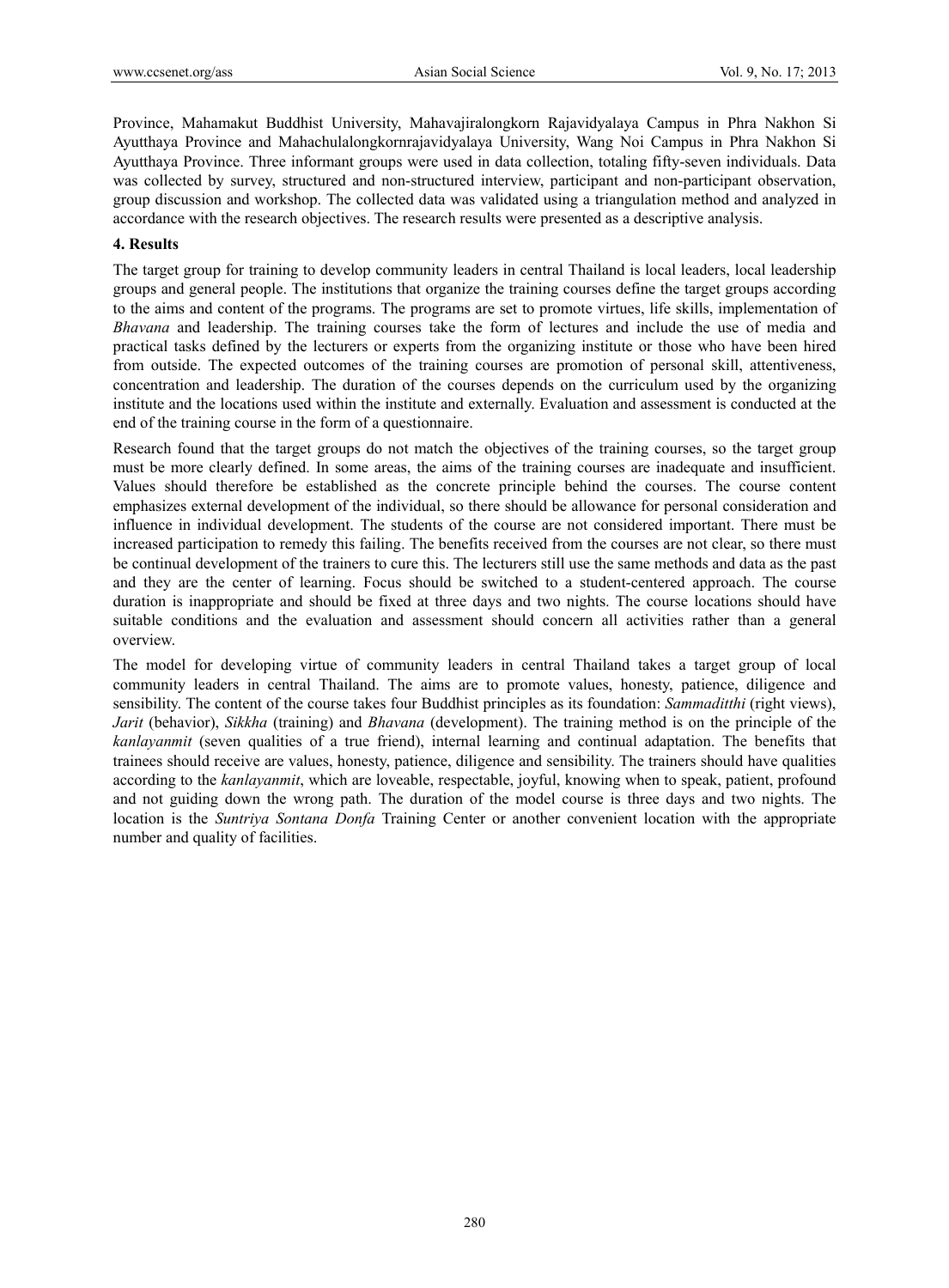Province, Mahamakut Buddhist University, Mahavajiralongkorn Rajavidyalaya Campus in Phra Nakhon Si Ayutthaya Province and Mahachulalongkornrajavidyalaya University, Wang Noi Campus in Phra Nakhon Si Ayutthaya Province. Three informant groups were used in data collection, totaling fifty-seven individuals. Data was collected by survey, structured and non-structured interview, participant and non-participant observation, group discussion and workshop. The collected data was validated using a triangulation method and analyzed in accordance with the research objectives. The research results were presented as a descriptive analysis.

## **4. Results**

The target group for training to develop community leaders in central Thailand is local leaders, local leadership groups and general people. The institutions that organize the training courses define the target groups according to the aims and content of the programs. The programs are set to promote virtues, life skills, implementation of *Bhavana* and leadership. The training courses take the form of lectures and include the use of media and practical tasks defined by the lecturers or experts from the organizing institute or those who have been hired from outside. The expected outcomes of the training courses are promotion of personal skill, attentiveness, concentration and leadership. The duration of the courses depends on the curriculum used by the organizing institute and the locations used within the institute and externally. Evaluation and assessment is conducted at the end of the training course in the form of a questionnaire.

Research found that the target groups do not match the objectives of the training courses, so the target group must be more clearly defined. In some areas, the aims of the training courses are inadequate and insufficient. Values should therefore be established as the concrete principle behind the courses. The course content emphasizes external development of the individual, so there should be allowance for personal consideration and influence in individual development. The students of the course are not considered important. There must be increased participation to remedy this failing. The benefits received from the courses are not clear, so there must be continual development of the trainers to cure this. The lecturers still use the same methods and data as the past and they are the center of learning. Focus should be switched to a student-centered approach. The course duration is inappropriate and should be fixed at three days and two nights. The course locations should have suitable conditions and the evaluation and assessment should concern all activities rather than a general overview.

The model for developing virtue of community leaders in central Thailand takes a target group of local community leaders in central Thailand. The aims are to promote values, honesty, patience, diligence and sensibility. The content of the course takes four Buddhist principles as its foundation: *Sammaditthi* (right views), *Jarit* (behavior), *Sikkha* (training) and *Bhavana* (development). The training method is on the principle of the *kanlayanmit* (seven qualities of a true friend), internal learning and continual adaptation. The benefits that trainees should receive are values, honesty, patience, diligence and sensibility. The trainers should have qualities according to the *kanlayanmit*, which are loveable, respectable, joyful, knowing when to speak, patient, profound and not guiding down the wrong path. The duration of the model course is three days and two nights. The location is the *Suntriya Sontana Donfa* Training Center or another convenient location with the appropriate number and quality of facilities.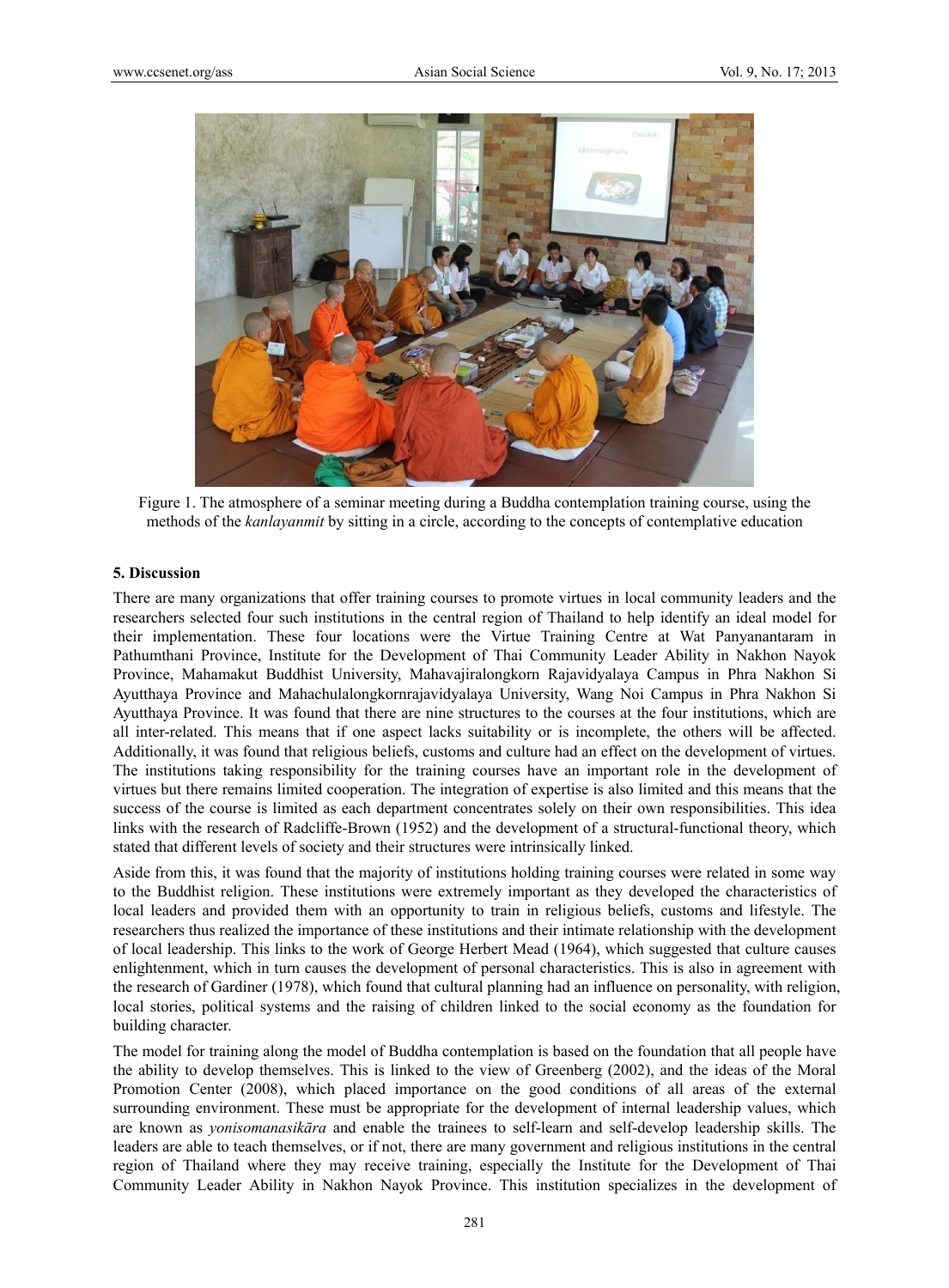

Figure 1. The atmosphere of a seminar meeting during a Buddha contemplation training course, using the methods of the *kanlayanmit* by sitting in a circle, according to the concepts of contemplative education

#### **5. Discussion**

There are many organizations that offer training courses to promote virtues in local community leaders and the researchers selected four such institutions in the central region of Thailand to help identify an ideal model for their implementation. These four locations were the Virtue Training Centre at Wat Panyanantaram in Pathumthani Province, Institute for the Development of Thai Community Leader Ability in Nakhon Nayok Province, Mahamakut Buddhist University, Mahavajiralongkorn Rajavidyalaya Campus in Phra Nakhon Si Ayutthaya Province and Mahachulalongkornrajavidyalaya University, Wang Noi Campus in Phra Nakhon Si Ayutthaya Province. It was found that there are nine structures to the courses at the four institutions, which are all inter-related. This means that if one aspect lacks suitability or is incomplete, the others will be affected. Additionally, it was found that religious beliefs, customs and culture had an effect on the development of virtues. The institutions taking responsibility for the training courses have an important role in the development of virtues but there remains limited cooperation. The integration of expertise is also limited and this means that the success of the course is limited as each department concentrates solely on their own responsibilities. This idea links with the research of Radcliffe-Brown (1952) and the development of a structural-functional theory, which stated that different levels of society and their structures were intrinsically linked.

Aside from this, it was found that the majority of institutions holding training courses were related in some way to the Buddhist religion. These institutions were extremely important as they developed the characteristics of local leaders and provided them with an opportunity to train in religious beliefs, customs and lifestyle. The researchers thus realized the importance of these institutions and their intimate relationship with the development of local leadership. This links to the work of George Herbert Mead (1964), which suggested that culture causes enlightenment, which in turn causes the development of personal characteristics. This is also in agreement with the research of Gardiner (1978), which found that cultural planning had an influence on personality, with religion, local stories, political systems and the raising of children linked to the social economy as the foundation for building character.

The model for training along the model of Buddha contemplation is based on the foundation that all people have the ability to develop themselves. This is linked to the view of Greenberg (2002), and the ideas of the Moral Promotion Center (2008), which placed importance on the good conditions of all areas of the external surrounding environment. These must be appropriate for the development of internal leadership values, which are known as *yonisomanasikāra* and enable the trainees to self-learn and self-develop leadership skills. The leaders are able to teach themselves, or if not, there are many government and religious institutions in the central region of Thailand where they may receive training, especially the Institute for the Development of Thai Community Leader Ability in Nakhon Nayok Province. This institution specializes in the development of